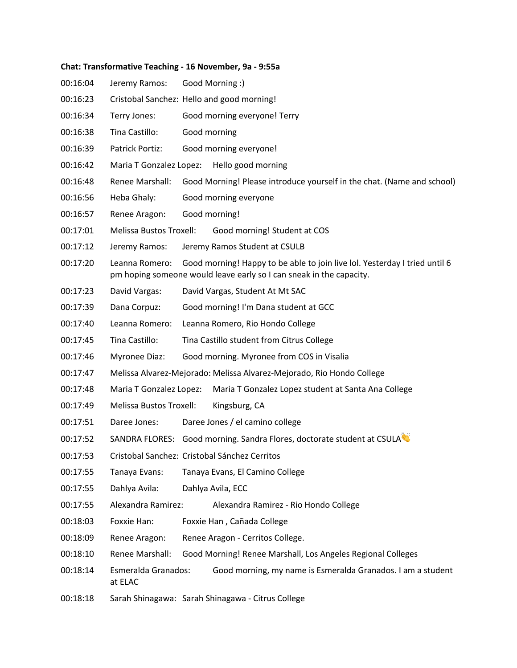## **Chat: Transformative Teaching - 16 November, 9a - 9:55a**

| 00:16:04 | Jeremy Ramos:                                                                                                                                                       | Good Morning :)                                                        |                                                                        |  |
|----------|---------------------------------------------------------------------------------------------------------------------------------------------------------------------|------------------------------------------------------------------------|------------------------------------------------------------------------|--|
| 00:16:23 |                                                                                                                                                                     | Cristobal Sanchez: Hello and good morning!                             |                                                                        |  |
| 00:16:34 | Terry Jones:                                                                                                                                                        | Good morning everyone! Terry                                           |                                                                        |  |
| 00:16:38 | Tina Castillo:                                                                                                                                                      | Good morning                                                           |                                                                        |  |
| 00:16:39 | Patrick Portiz:                                                                                                                                                     |                                                                        | Good morning everyone!                                                 |  |
| 00:16:42 | Maria T Gonzalez Lopez:                                                                                                                                             |                                                                        | Hello good morning                                                     |  |
| 00:16:48 | Renee Marshall:                                                                                                                                                     |                                                                        | Good Morning! Please introduce yourself in the chat. (Name and school) |  |
| 00:16:56 | Heba Ghaly:                                                                                                                                                         | Good morning everyone                                                  |                                                                        |  |
| 00:16:57 | Renee Aragon:                                                                                                                                                       | Good morning!                                                          |                                                                        |  |
| 00:17:01 | Melissa Bustos Troxell:                                                                                                                                             |                                                                        | Good morning! Student at COS                                           |  |
| 00:17:12 | Jeremy Ramos:                                                                                                                                                       |                                                                        | Jeremy Ramos Student at CSULB                                          |  |
| 00:17:20 | Leanna Romero:<br>Good morning! Happy to be able to join live lol. Yesterday I tried until 6<br>pm hoping someone would leave early so I can sneak in the capacity. |                                                                        |                                                                        |  |
| 00:17:23 | David Vargas:                                                                                                                                                       |                                                                        | David Vargas, Student At Mt SAC                                        |  |
| 00:17:39 | Dana Corpuz:                                                                                                                                                        |                                                                        | Good morning! I'm Dana student at GCC                                  |  |
| 00:17:40 | Leanna Romero:                                                                                                                                                      |                                                                        | Leanna Romero, Rio Hondo College                                       |  |
| 00:17:45 | Tina Castillo:                                                                                                                                                      | Tina Castillo student from Citrus College                              |                                                                        |  |
| 00:17:46 | Myronee Diaz:                                                                                                                                                       |                                                                        | Good morning. Myronee from COS in Visalia                              |  |
| 00:17:47 | Melissa Alvarez-Mejorado: Melissa Alvarez-Mejorado, Rio Hondo College                                                                                               |                                                                        |                                                                        |  |
| 00:17:48 | Maria T Gonzalez Lopez:<br>Maria T Gonzalez Lopez student at Santa Ana College                                                                                      |                                                                        |                                                                        |  |
| 00:17:49 | Melissa Bustos Troxell:<br>Kingsburg, CA                                                                                                                            |                                                                        |                                                                        |  |
| 00:17:51 | Daree Jones:                                                                                                                                                        |                                                                        | Daree Jones / el camino college                                        |  |
| 00:17:52 |                                                                                                                                                                     | SANDRA FLORES: Good morning. Sandra Flores, doctorate student at CSULA |                                                                        |  |
| 00:17:53 | Cristobal Sanchez: Cristobal Sánchez Cerritos                                                                                                                       |                                                                        |                                                                        |  |
| 00:17:55 | Tanaya Evans:                                                                                                                                                       | Tanaya Evans, El Camino College                                        |                                                                        |  |
| 00:17:55 | Dahlya Avila:                                                                                                                                                       |                                                                        | Dahlya Avila, ECC                                                      |  |
| 00:17:55 | Alexandra Ramirez:                                                                                                                                                  | Alexandra Ramirez - Rio Hondo College                                  |                                                                        |  |
| 00:18:03 | Foxxie Han:                                                                                                                                                         | Foxxie Han, Cañada College                                             |                                                                        |  |
| 00:18:09 | Renee Aragon:                                                                                                                                                       | Renee Aragon - Cerritos College.                                       |                                                                        |  |
| 00:18:10 | Renee Marshall:                                                                                                                                                     |                                                                        | Good Morning! Renee Marshall, Los Angeles Regional Colleges            |  |
| 00:18:14 | Esmeralda Granados:<br>at ELAC                                                                                                                                      |                                                                        | Good morning, my name is Esmeralda Granados. I am a student            |  |
|          |                                                                                                                                                                     |                                                                        |                                                                        |  |

00:18:18 Sarah Shinagawa: Sarah Shinagawa - Citrus College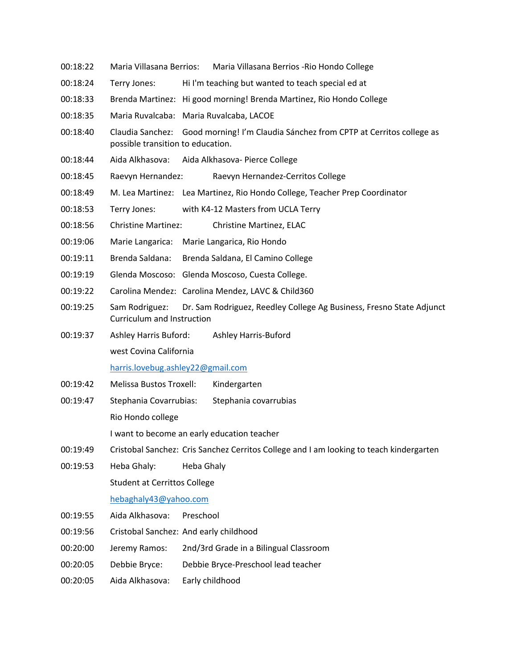- 00:18:22 Maria Villasana Berrios: Maria Villasana Berrios -Rio Hondo College
- 00:18:24 Terry Jones: Hi I'm teaching but wanted to teach special ed at
- 00:18:33 Brenda Martinez: Hi good morning! Brenda Martinez, Rio Hondo College
- 00:18:35 Maria Ruvalcaba: Maria Ruvalcaba, LACOE
- 00:18:40 Claudia Sanchez: Good morning! I'm Claudia Sánchez from CPTP at Cerritos college as possible transition to education.
- 00:18:44 Aida Alkhasova: Aida Alkhasova- Pierce College
- 00:18:45 Raevyn Hernandez: Raevyn Hernandez-Cerritos College
- 00:18:49 M. Lea Martinez: Lea Martinez, Rio Hondo College, Teacher Prep Coordinator
- 00:18:53 Terry Jones: with K4-12 Masters from UCLA Terry
- 00:18:56 Christine Martinez: Christine Martinez, ELAC
- 00:19:06 Marie Langarica: Marie Langarica, Rio Hondo
- 00:19:11 Brenda Saldana: Brenda Saldana, El Camino College
- 00:19:19 Glenda Moscoso: Glenda Moscoso, Cuesta College.
- 00:19:22 Carolina Mendez: Carolina Mendez, LAVC & Child360
- 00:19:25 Sam Rodriguez: Dr. Sam Rodriguez, Reedley College Ag Business, Fresno State Adjunct Curriculum and Instruction
- 00:19:37 Ashley Harris Buford: Ashley Harris-Buford west Covina California

harris.lovebug.ashley22@gmail.com

- 00:19:42 Melissa Bustos Troxell: Kindergarten
- 00:19:47 Stephania Covarrubias: Stephania covarrubias Rio Hondo college I want to become an early education teacher
- 00:19:49 Cristobal Sanchez: Cris Sanchez Cerritos College and I am looking to teach kindergarten
- 00:19:53 Heba Ghaly: Heba Ghaly

Student at Cerrittos College

## hebaghaly43@yahoo.com

- 00:19:55 Aida Alkhasova: Preschool
- 00:19:56 Cristobal Sanchez: And early childhood
- 00:20:00 Jeremy Ramos: 2nd/3rd Grade in a Bilingual Classroom
- 00:20:05 Debbie Bryce: Debbie Bryce-Preschool lead teacher
- 00:20:05 Aida Alkhasova: Early childhood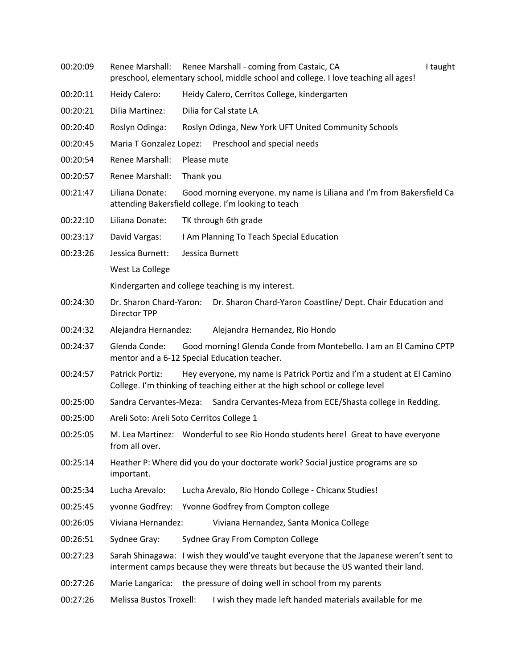- 00:20:09 Renee Marshall: Renee Marshall coming from Castaic, CA I Taught preschool, elementary school, middle school and college. I love teaching all ages!
- 00:20:11 Heidy Calero: Heidy Calero, Cerritos College, kindergarten
- 00:20:21 Dilia Martinez: Dilia for Cal state LA
- 00:20:40 Roslyn Odinga: Roslyn Odinga, New York UFT United Community Schools
- 00:20:45 Maria T Gonzalez Lopez: Preschool and special needs
- 00:20:54 Renee Marshall: Please mute
- 00:20:57 Renee Marshall: Thank you
- 00:21:47 Liliana Donate: Good morning everyone. my name is Liliana and I'm from Bakersfield Ca attending Bakersfield college. I'm looking to teach
- 00:22:10 Liliana Donate: TK through 6th grade
- 00:23:17 David Vargas: I Am Planning To Teach Special Education
- 00:23:26 Jessica Burnett: Jessica Burnett

West La College

Kindergarten and college teaching is my interest.

- 00:24:30 Dr. Sharon Chard-Yaron: Dr. Sharon Chard-Yaron Coastline/ Dept. Chair Education and Director TPP
- 00:24:32 Alejandra Hernandez: Alejandra Hernandez, Rio Hondo
- 00:24:37 Glenda Conde: Good morning! Glenda Conde from Montebello. I am an El Camino CPTP mentor and a 6-12 Special Education teacher.
- 00:24:57 Patrick Portiz: Hey everyone, my name is Patrick Portiz and I'm a student at El Camino College. I'm thinking of teaching either at the high school or college level
- 00:25:00 Sandra Cervantes-Meza: Sandra Cervantes-Meza from ECE/Shasta college in Redding.
- 00:25:00 Areli Soto: Areli Soto Cerritos College 1
- 00:25:05 M. Lea Martinez: Wonderful to see Rio Hondo students here! Great to have everyone from all over.
- 00:25:14 Heather P: Where did you do your doctorate work? Social justice programs are so important.
- 00:25:34 Lucha Arevalo: Lucha Arevalo, Rio Hondo College Chicanx Studies!
- 00:25:45 yvonne Godfrey: Yvonne Godfrey from Compton college
- 00:26:05 Viviana Hernandez: Viviana Hernandez, Santa Monica College
- 00:26:51 Sydnee Gray: Sydnee Gray From Compton College
- 00:27:23 Sarah Shinagawa: I wish they would've taught everyone that the Japanese weren't sent to interment camps because they were threats but because the US wanted their land.
- 00:27:26 Marie Langarica: the pressure of doing well in school from my parents
- 00:27:26 Melissa Bustos Troxell: I wish they made left handed materials available for me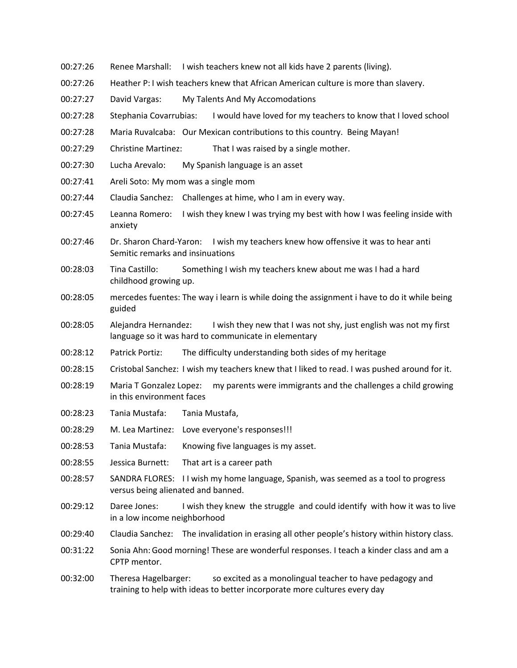- 00:27:26 Renee Marshall: I wish teachers knew not all kids have 2 parents (living).
- 00:27:26 Heather P: I wish teachers knew that African American culture is more than slavery.
- 00:27:27 David Vargas: My Talents And My Accomodations
- 00:27:28 Stephania Covarrubias: I would have loved for my teachers to know that I loved school
- 00:27:28 Maria Ruvalcaba: Our Mexican contributions to this country. Being Mayan!
- 00:27:29 Christine Martinez: That I was raised by a single mother.
- 00:27:30 Lucha Arevalo: My Spanish language is an asset
- 00:27:41 Areli Soto: My mom was a single mom
- 00:27:44 Claudia Sanchez: Challenges at hime, who I am in every way.
- 00:27:45 Leanna Romero: I wish they knew I was trying my best with how I was feeling inside with anxiety
- 00:27:46 Dr. Sharon Chard-Yaron: I wish my teachers knew how offensive it was to hear anti Semitic remarks and insinuations
- 00:28:03 Tina Castillo: Something I wish my teachers knew about me was I had a hard childhood growing up.
- 00:28:05 mercedes fuentes: The way i learn is while doing the assignment i have to do it while being guided
- 00:28:05 Alejandra Hernandez: I wish they new that I was not shy, just english was not my first language so it was hard to communicate in elementary
- 00:28:12 Patrick Portiz: The difficulty understanding both sides of my heritage
- 00:28:15 Cristobal Sanchez: I wish my teachers knew that I liked to read. I was pushed around for it.
- 00:28:19 Maria T Gonzalez Lopez: my parents were immigrants and the challenges a child growing in this environment faces
- 00:28:23 Tania Mustafa: Tania Mustafa,
- 00:28:29 M. Lea Martinez: Love everyone's responses!!!
- 00:28:53 Tania Mustafa: Knowing five languages is my asset.
- 00:28:55 Jessica Burnett: That art is a career path
- 00:28:57 SANDRA FLORES: I I wish my home language, Spanish, was seemed as a tool to progress versus being alienated and banned.
- 00:29:12 Daree Jones: I wish they knew the struggle and could identify with how it was to live in a low income neighborhood
- 00:29:40 Claudia Sanchez: The invalidation in erasing all other people's history within history class.
- 00:31:22 Sonia Ahn:Good morning! These are wonderful responses. I teach a kinder class and am a CPTP mentor.
- 00:32:00 Theresa Hagelbarger: so excited as a monolingual teacher to have pedagogy and training to help with ideas to better incorporate more cultures every day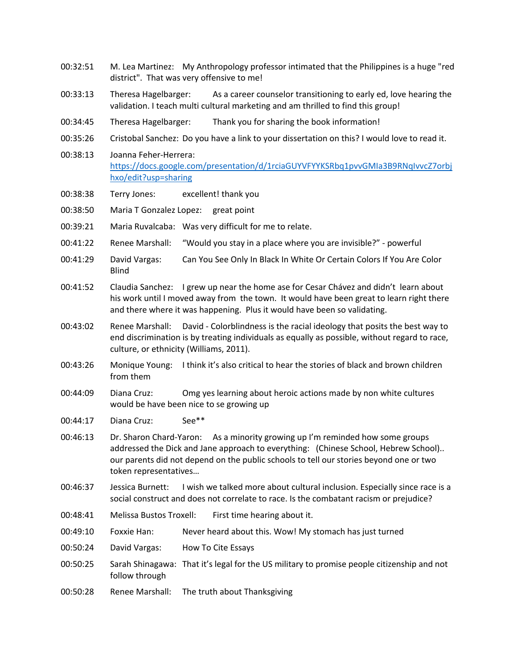- 00:32:51 M. Lea Martinez: My Anthropology professor intimated that the Philippines is a huge "red district". That was very offensive to me!
- 00:33:13 Theresa Hagelbarger: As a career counselor transitioning to early ed, love hearing the validation. I teach multi cultural marketing and am thrilled to find this group!
- 00:34:45 Theresa Hagelbarger: Thank you for sharing the book information!
- 00:35:26 Cristobal Sanchez: Do you have a link to your dissertation on this? I would love to read it.
- 00:38:13 Joanna Feher-Herrera: https://docs.google.com/presentation/d/1rciaGUYVFYYKSRbq1pvvGMIa3B9RNqIvvcZ7orbj hxo/edit?usp=sharing
- 00:38:38 Terry Jones: excellent! thank you
- 00:38:50 Maria T Gonzalez Lopez: great point
- 00:39:21 Maria Ruvalcaba: Was very difficult for me to relate.
- 00:41:22 Renee Marshall: "Would you stay in a place where you are invisible?" powerful
- 00:41:29 David Vargas: Can You See Only In Black In White Or Certain Colors If You Are Color Blind
- 00:41:52 Claudia Sanchez: I grew up near the home ase for Cesar Chávez and didn't learn about his work until I moved away from the town. It would have been great to learn right there and there where it was happening. Plus it would have been so validating.
- 00:43:02 Renee Marshall: David Colorblindness is the racial ideology that posits the best way to end discrimination is by treating individuals as equally as possible, without regard to race, culture, or ethnicity (Williams, 2011).
- 00:43:26 Monique Young: I think it's also critical to hear the stories of black and brown children from them
- 00:44:09 Diana Cruz: Omg yes learning about heroic actions made by non white cultures would be have been nice to se growing up
- 00:44:17 Diana Cruz: See\*\*
- 00:46:13 Dr. Sharon Chard-Yaron: As a minority growing up I'm reminded how some groups addressed the Dick and Jane approach to everything: (Chinese School, Hebrew School).. our parents did not depend on the public schools to tell our stories beyond one or two token representatives…
- 00:46:37 Jessica Burnett: I wish we talked more about cultural inclusion. Especially since race is a social construct and does not correlate to race. Is the combatant racism or prejudice?
- 00:48:41 Melissa Bustos Troxell: First time hearing about it.
- 00:49:10 Foxxie Han: Never heard about this. Wow! My stomach has just turned
- 00:50:24 David Vargas: How To Cite Essays
- 00:50:25 Sarah Shinagawa: That it's legal for the US military to promise people citizenship and not follow through
- 00:50:28 Renee Marshall: The truth about Thanksgiving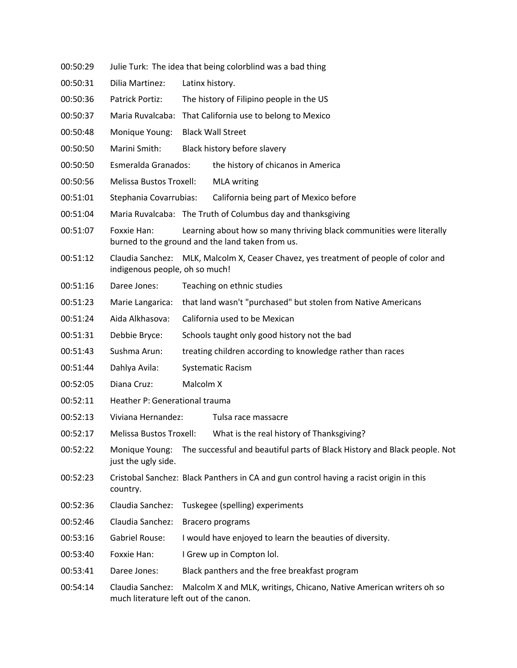- 00:50:29 Julie Turk: The idea that being colorblind was a bad thing
- 00:50:31 Dilia Martinez: Latinx history.
- 00:50:36 Patrick Portiz: The history of Filipino people in the US
- 00:50:37 Maria Ruvalcaba: That California use to belong to Mexico
- 00:50:48 Monique Young: Black Wall Street
- 00:50:50 Marini Smith: Black history before slavery
- 00:50:50 Esmeralda Granados: the history of chicanos in America
- 00:50:56 Melissa Bustos Troxell: MLA writing
- 00:51:01 Stephania Covarrubias: California being part of Mexico before
- 00:51:04 Maria Ruvalcaba: The Truth of Columbus day and thanksgiving
- 00:51:07 Foxxie Han: Learning about how so many thriving black communities were literally burned to the ground and the land taken from us.
- 00:51:12 Claudia Sanchez: MLK, Malcolm X, Ceaser Chavez, yes treatment of people of color and indigenous people, oh so much!
- 00:51:16 Daree Jones: Teaching on ethnic studies
- 00:51:23 Marie Langarica: that land wasn't "purchased" but stolen from Native Americans
- 00:51:24 Aida Alkhasova: California used to be Mexican
- 00:51:31 Debbie Bryce: Schools taught only good history not the bad
- 00:51:43 Sushma Arun: treating children according to knowledge rather than races
- 00:51:44 Dahlya Avila: Systematic Racism
- 00:52:05 Diana Cruz: Malcolm X
- 00:52:11 Heather P: Generational trauma
- 00:52:13 Viviana Hernandez: Tulsa race massacre
- 00:52:17 Melissa Bustos Troxell: What is the real history of Thanksgiving?
- 00:52:22 Monique Young: The successful and beautiful parts of Black History and Black people. Not just the ugly side.
- 00:52:23 Cristobal Sanchez: Black Panthers in CA and gun control having a racist origin in this country.
- 00:52:36 Claudia Sanchez: Tuskegee (spelling) experiments
- 00:52:46 Claudia Sanchez: Bracero programs
- 00:53:16 Gabriel Rouse: I would have enjoyed to learn the beauties of diversity.
- 00:53:40 Foxxie Han: I Grew up in Compton lol.
- 00:53:41 Daree Jones: Black panthers and the free breakfast program
- 00:54:14 Claudia Sanchez: Malcolm X and MLK, writings, Chicano, Native American writers oh so much literature left out of the canon.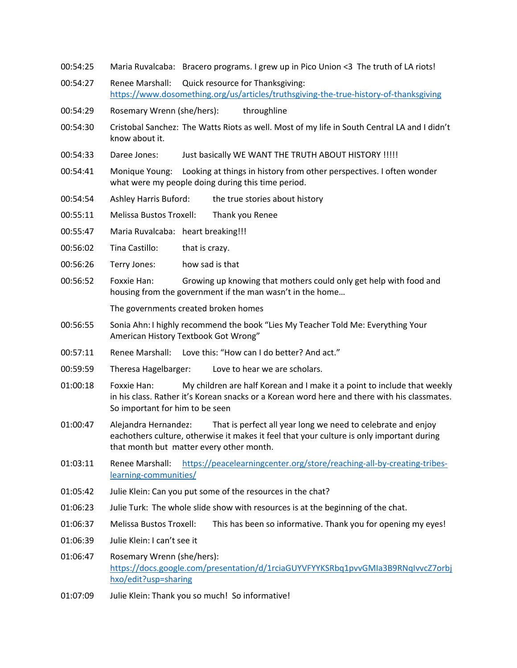- 00:54:25 Maria Ruvalcaba: Bracero programs. I grew up in Pico Union <3 The truth of LA riots!
- 00:54:27 Renee Marshall: Quick resource for Thanksgiving: https://www.dosomething.org/us/articles/truthsgiving-the-true-history-of-thanksgiving
- 00:54:29 Rosemary Wrenn (she/hers): throughline
- 00:54:30 Cristobal Sanchez: The Watts Riots as well. Most of my life in South Central LA and I didn't know about it.
- 00:54:33 Daree Jones: Just basically WE WANT THE TRUTH ABOUT HISTORY !!!!!
- 00:54:41 Monique Young: Looking at things in history from other perspectives. I often wonder what were my people doing during this time period.
- 00:54:54 Ashley Harris Buford: the true stories about history
- 00:55:11 Melissa Bustos Troxell: Thank you Renee
- 00:55:47 Maria Ruvalcaba: heart breaking!!!
- 00:56:02 Tina Castillo: that is crazy.
- 00:56:26 Terry Jones: how sad is that
- 00:56:52 Foxxie Han: Growing up knowing that mothers could only get help with food and housing from the government if the man wasn't in the home…

The governments created broken homes

- 00:56:55 Sonia Ahn: I highly recommend the book "Lies My Teacher Told Me: Everything Your American History Textbook Got Wrong"
- 00:57:11 Renee Marshall: Love this: "How can I do better? And act."
- 00:59:59 Theresa Hagelbarger: Love to hear we are scholars.
- 01:00:18 Foxxie Han: My children are half Korean and I make it a point to include that weekly in his class. Rather it's Korean snacks or a Korean word here and there with his classmates. So important for him to be seen
- 01:00:47 Alejandra Hernandez: That is perfect all year long we need to celebrate and enjoy eachothers culture, otherwise it makes it feel that your culture is only important during that month but matter every other month.
- 01:03:11 Renee Marshall: https://peacelearningcenter.org/store/reaching-all-by-creating-tribeslearning-communities/
- 01:05:42 Julie Klein: Can you put some of the resources in the chat?
- 01:06:23 Julie Turk: The whole slide show with resources is at the beginning of the chat.
- 01:06:37 Melissa Bustos Troxell: This has been so informative. Thank you for opening my eyes!
- 01:06:39 Julie Klein: I can't see it
- 01:06:47 Rosemary Wrenn (she/hers): https://docs.google.com/presentation/d/1rciaGUYVFYYKSRbq1pvvGMIa3B9RNqIvvcZ7orbj hxo/edit?usp=sharing
- 01:07:09 Julie Klein: Thank you so much! So informative!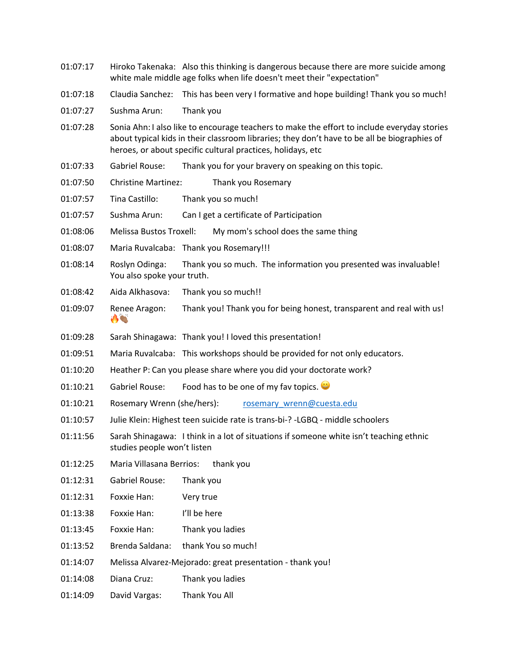- 01:07:17 Hiroko Takenaka: Also this thinking is dangerous because there are more suicide among white male middle age folks when life doesn't meet their "expectation"
- 01:07:18 Claudia Sanchez: This has been very I formative and hope building! Thank you so much!
- 01:07:27 Sushma Arun: Thank you
- 01:07:28 Sonia Ahn: I also like to encourage teachers to make the effort to include everyday stories about typical kids in their classroom libraries; they don't have to be all be biographies of heroes, or about specific cultural practices, holidays, etc
- 01:07:33 Gabriel Rouse: Thank you for your bravery on speaking on this topic.
- 01:07:50 Christine Martinez: Thank you Rosemary
- 01:07:57 Tina Castillo: Thank you so much!
- 01:07:57 Sushma Arun: Can I get a certificate of Participation
- 01:08:06 Melissa Bustos Troxell: My mom's school does the same thing
- 01:08:07 Maria Ruvalcaba: Thank you Rosemary!!!
- 01:08:14 Roslyn Odinga: Thank you so much. The information you presented was invaluable! You also spoke your truth.
- 01:08:42 Aida Alkhasova: Thank you so much!!
- 01:09:07 Renee Aragon: Thank you! Thank you for being honest, transparent and real with us!  $\bigwedge^{\infty}$
- 01:09:28 Sarah Shinagawa: Thank you! I loved this presentation!
- 01:09:51 Maria Ruvalcaba: This workshops should be provided for not only educators.
- 01:10:20 Heather P: Can you please share where you did your doctorate work?
- 01:10:21 Gabriel Rouse: Food has to be one of my fav topics.
- 01:10:21 Rosemary Wrenn (she/hers): rosemary wrenn@cuesta.edu
- 01:10:57 Julie Klein: Highest teen suicide rate is trans-bi-? -LGBQ middle schoolers
- 01:11:56 Sarah Shinagawa: I think in a lot of situations if someone white isn't teaching ethnic studies people won't listen
- 01:12:25 Maria Villasana Berrios: thank you
- 01:12:31 Gabriel Rouse: Thank you
- 01:12:31 Foxxie Han: Very true
- 01:13:38 Foxxie Han: I'll be here
- 01:13:45 Foxxie Han: Thank you ladies
- 01:13:52 Brenda Saldana: thank You so much!
- 01:14:07 Melissa Alvarez-Mejorado: great presentation thank you!
- 01:14:08 Diana Cruz: Thank you ladies
- 01:14:09 David Vargas: Thank You All